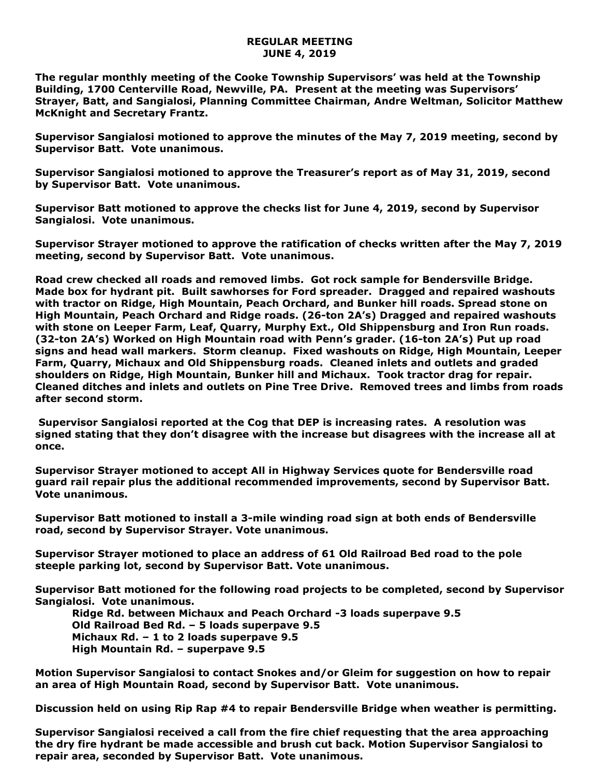## **REGULAR MEETING JUNE 4, 2019**

**The regular monthly meeting of the Cooke Township Supervisors' was held at the Township Building, 1700 Centerville Road, Newville, PA. Present at the meeting was Supervisors' Strayer, Batt, and Sangialosi, Planning Committee Chairman, Andre Weltman, Solicitor Matthew McKnight and Secretary Frantz.** 

**Supervisor Sangialosi motioned to approve the minutes of the May 7, 2019 meeting, second by Supervisor Batt. Vote unanimous.** 

**Supervisor Sangialosi motioned to approve the Treasurer's report as of May 31, 2019, second by Supervisor Batt. Vote unanimous.**

**Supervisor Batt motioned to approve the checks list for June 4, 2019, second by Supervisor Sangialosi. Vote unanimous.**

**Supervisor Strayer motioned to approve the ratification of checks written after the May 7, 2019 meeting, second by Supervisor Batt. Vote unanimous.**

**Road crew checked all roads and removed limbs. Got rock sample for Bendersville Bridge. Made box for hydrant pit. Built sawhorses for Ford spreader. Dragged and repaired washouts with tractor on Ridge, High Mountain, Peach Orchard, and Bunker hill roads. Spread stone on High Mountain, Peach Orchard and Ridge roads. (26-ton 2A's) Dragged and repaired washouts with stone on Leeper Farm, Leaf, Quarry, Murphy Ext., Old Shippensburg and Iron Run roads. (32-ton 2A's) Worked on High Mountain road with Penn's grader. (16-ton 2A's) Put up road signs and head wall markers. Storm cleanup. Fixed washouts on Ridge, High Mountain, Leeper Farm, Quarry, Michaux and Old Shippensburg roads. Cleaned inlets and outlets and graded shoulders on Ridge, High Mountain, Bunker hill and Michaux. Took tractor drag for repair. Cleaned ditches and inlets and outlets on Pine Tree Drive. Removed trees and limbs from roads after second storm.**

**Supervisor Sangialosi reported at the Cog that DEP is increasing rates. A resolution was signed stating that they don't disagree with the increase but disagrees with the increase all at once.**

**Supervisor Strayer motioned to accept All in Highway Services quote for Bendersville road guard rail repair plus the additional recommended improvements, second by Supervisor Batt. Vote unanimous.**

**Supervisor Batt motioned to install a 3-mile winding road sign at both ends of Bendersville road, second by Supervisor Strayer. Vote unanimous.**

**Supervisor Strayer motioned to place an address of 61 Old Railroad Bed road to the pole steeple parking lot, second by Supervisor Batt. Vote unanimous.**

**Supervisor Batt motioned for the following road projects to be completed, second by Supervisor Sangialosi. Vote unanimous.**

 **Ridge Rd. between Michaux and Peach Orchard -3 loads superpave 9.5 Old Railroad Bed Rd. – 5 loads superpave 9.5 Michaux Rd. – 1 to 2 loads superpave 9.5 High Mountain Rd. – superpave 9.5**

**Motion Supervisor Sangialosi to contact Snokes and/or Gleim for suggestion on how to repair an area of High Mountain Road, second by Supervisor Batt. Vote unanimous.**

**Discussion held on using Rip Rap #4 to repair Bendersville Bridge when weather is permitting.**

**Supervisor Sangialosi received a call from the fire chief requesting that the area approaching the dry fire hydrant be made accessible and brush cut back. Motion Supervisor Sangialosi to repair area, seconded by Supervisor Batt. Vote unanimous.**